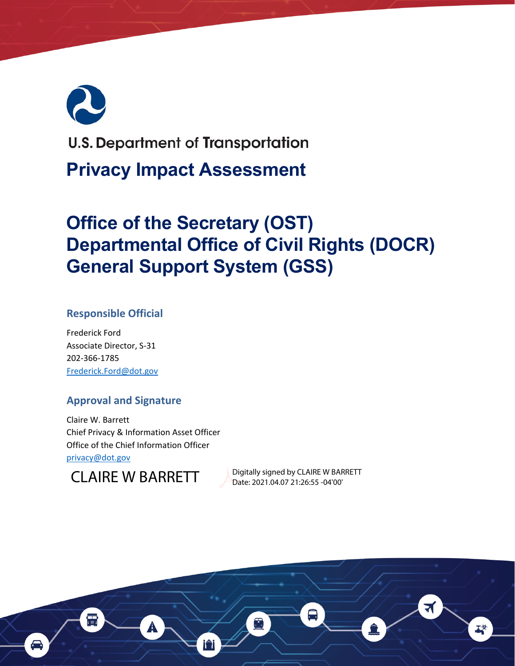# **U.S. Department of Transportation Privacy Impact Assessment**

## **Office of the Secretary (OST) Departmental Office of Civil Rights (DOCR) General Support System (GSS)**

#### **Responsible Official**

 Frederick Ford Associate Director, S‐31 202‐366‐1785 [Frederick.Ford@dot.gov](mailto:Frederick.Ford@dot.gov)

#### **Approval and Signature**

 Claire W. Barrett Chief Privacy & Information Asset Officer Office of the Chief Information Officer [privacy@dot.gov](mailto:privacy@dot.gov)



Date: 2021.04.07 21:26:55 -04'00'

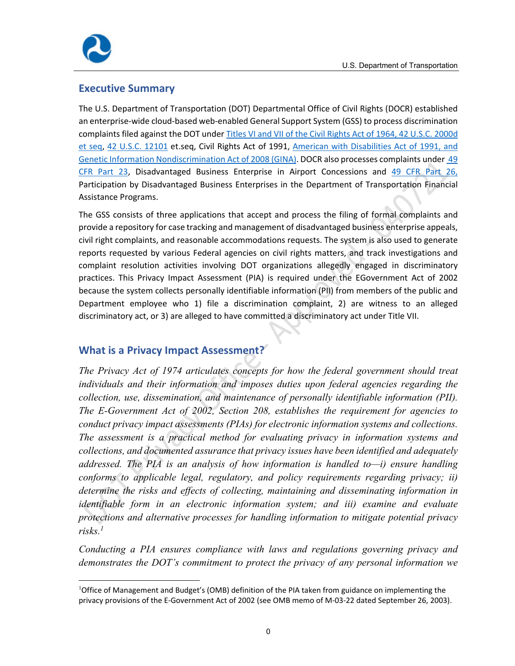

#### **Executive Summary**

 The U.S. Department of Transportation (DOT) Departmental Office of Civil Rights (DOCR) established an enterprise‐wide cloud‐based web‐enabled General Support System (GSS) to process discrimination complaints filed against the DOT under Titles VI and VII of the Civil Rights Act of 1964, 42 U.S.C. 2000d et seq, 42 U.S.C. 12101 et.seq, Civil Rights Act of 1991, American with Disabilities Act of 1991, and Genetic Information Nondiscrimination Act of 2008 (GINA). DOCR also processes complaints under 49 CFR Part 23, Disadvantaged Business Enterprise in Airport Concessions and 49 CFR Part 26, Participation by Disadvantaged Business Enterprises in the Department of Transportation Financial Assistance Programs.

 The GSS consists of three applications that accept and process the filing of formal complaints and provide a repository for case tracking and management of disadvantaged business enterprise appeals, civil right complaints, and reasonable accommodations requests. The system is also used to generate reports requested by various Federal agencies on civil rights matters, and track investigations and complaint resolution activities involving DOT organizations allegedly engaged in discriminatory practices. This Privacy Impact Assessment (PIA) is required under the EGovernment Act of 2002 because the system collects personally identifiable information (PII) from members of the public and Department employee who 1) file a discrimination complaint, 2) are witness to an alleged discriminatory act, or 3) are alleged to have committed a discriminatory act under Title VII.

#### **What is a Privacy Impact Assessment?**

*The Privacy Act of 1974 articulates concepts for how the federal government should treat individuals and their information and imposes duties upon federal agencies regarding the collection, use, dissemination, and maintenance of personally identifiable information (PII). The E-Government Act of 2002, Section 208, establishes the requirement for agencies to conduct privacy impact assessments (PIAs) for electronic information systems and collections. The assessment is a practical method for evaluating privacy in information systems and collections, and documented assurance that privacy issues have been identified and adequately addressed. The PIA is an analysis of how information is handled to—i) ensure handling conforms to applicable legal, regulatory, and policy requirements regarding privacy; ii) determine the risks and effects of collecting, maintaining and disseminating information in identifiable form in an electronic information system; and iii) examine and evaluate protections and alternative processes for handling information to mitigate potential privacy risks.1* 

*Conducting a PIA ensures compliance with laws and regulations governing privacy and demonstrates the DOT's commitment to protect the privacy of any personal information we* 

<sup>&</sup>lt;sup>1</sup>Office of Management and Budget's (OMB) definition of the PIA taken from guidance on implementing the privacy provisions of the E‐Government Act of 2002 (see OMB memo of M‐03‐22 dated September 26, 2003).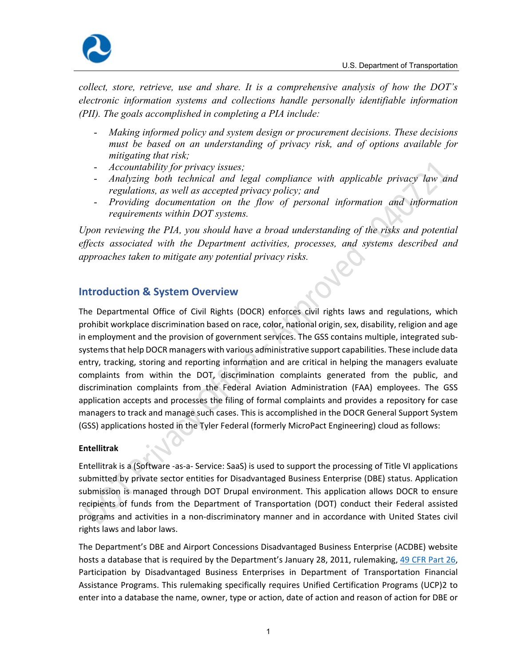

*collect, store, retrieve, use and share. It is a comprehensive analysis of how the DOT's electronic information systems and collections handle personally identifiable information (PII). The goals accomplished in completing a PIA include:* 

- *Making informed policy and system design or procurement decisions. These decisions must be based on an understanding of privacy risk, and of options available for mitigating that risk;*
- *Accountability for privacy issues;*
- *Analyzing both technical and legal compliance with applicable privacy law and regulations, as well as accepted privacy policy; and*
- *Providing documentation on the flow of personal information and information requirements within DOT systems.*

*Upon reviewing the PIA, you should have a broad understanding of the risks and potential effects associated with the Department activities, processes, and systems described and approaches taken to mitigate any potential privacy risks.* 

#### **Introduction & System Overview**

 The Departmental Office of Civil Rights (DOCR) enforces civil rights laws and regulations, which prohibit workplace discrimination based on race, color, national origin, sex, disability, religion and age in employment and the provision of government services. The GSS contains multiple, integrated sub‐ systems that help DOCR managers with various administrative support capabilities. These include data entry, tracking, storing and reporting information and are critical in helping the managers evaluate complaints from within the DOT, discrimination complaints generated from the public, and discrimination complaints from the Federal Aviation Administration (FAA) employees. The GSS application accepts and processes the filing of formal complaints and provides a repository for case managers to track and manage such cases. This is accomplished in the DOCR General Support System (GSS) applications hosted in the Tyler Federal (formerly MicroPact Engineering) cloud as follows:

#### **Entellitrak**

 Entellitrak is a (Software ‐as‐a‐ Service: SaaS) is used to support the processing of Title VI applications submitted by private sector entities for Disadvantaged Business Enterprise (DBE) status. Application submission is managed through DOT Drupal environment. This application allows DOCR to ensure recipients of funds from the Department of Transportation (DOT) conduct their Federal assisted programs and activities in a non‐discriminatory manner and in accordance with United States civil rights laws and labor laws.

 The Department's DBE and Airport Concessions Disadvantaged Business Enterprise (ACDBE) website hosts a database that is required by the Department's January 28, 2011, rulemaking, 49 CFR Part 26, Participation by Disadvantaged Business Enterprises in Department of Transportation Financial Assistance Programs. This rulemaking specifically requires Unified Certification Programs (UCP)2 to enter into a database the name, owner, type or action, date of action and reason of action for DBE or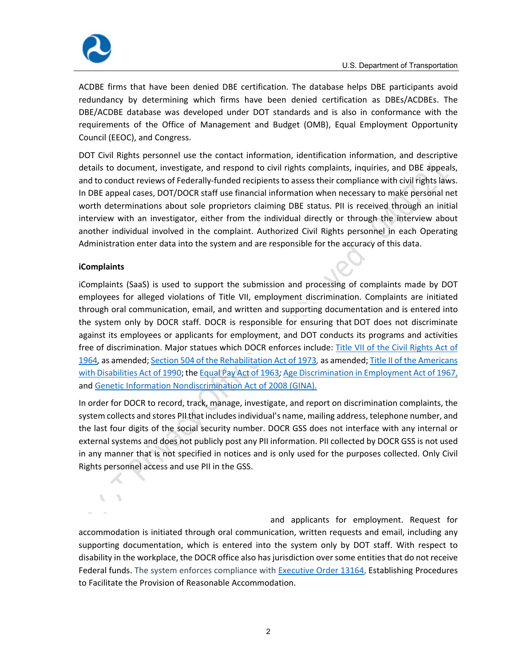



 ACDBE firms that have been denied DBE certification. The database helps DBE participants avoid redundancy by determining which firms have been denied certification as DBEs/ACDBEs. The DBE/ACDBE database was developed under DOT standards and is also in conformance with the requirements of the Office of Management and Budget (OMB), Equal Employment Opportunity Council (EEOC), and Congress.

 DOT Civil Rights personnel use the contact information, identification information, and descriptive details to document, investigate, and respond to civil rights complaints, inquiries, and DBE appeals, and to conduct reviews of Federally-funded recipients to assess their compliance with civil rights laws. In DBE appeal cases, DOT/DOCR staff use financial information when necessary to make personal net worth determinations about sole proprietors claiming DBE status. PII is received through an initial interview with an investigator, either from the individual directly or through the interview about another individual involved in the complaint. Authorized Civil Rights personnel in each Operating Administration enter data into the system and are responsible for the accuracy of this data.

#### **iComplaints**

X.

with Disabilities Act of 1990; the Equal Pay Act of 1963*;* Age Discrimination in Employment Act of 1967, and Genetic Information Nondiscrimination Act of 2008 (GINA). iComplaints (SaaS) is used to support the submission and processing of complaints made by DOT employees for alleged violations of Title VII, employment discrimination. Complaints are initiated through oral communication, email, and written and supporting documentation and is entered into the system only by DOCR staff. DOCR is responsible for ensuring that DOT does not discriminate against its employees or applicants for employment, and DOT conducts its programs and activities free of discrimination. Major statues which DOCR enforces include: Title VII of the Civil Rights Act of 1964*,* as amended; Section 504 of the Rehabilitation Act of 1973*,* as amended; Title II of the Americans

In order for DOCR to record, track, manage, investigate, and report on discrimination complaints, the system collects and stores PII that includes individual's name, mailing address, telephone number, and the last four digits of the social security number. DOCR GSS does not interface with any internal or external systems and does not publicly post any PII information. PII collected by DOCR GSS is not used in any manner that is not specified in notices and is only used for the purposes collected. Only Civil Rights personnel access and use PII in the GSS.

 and applicants for employment. Request for accommodation is initiated through oral communication, written requests and email, including any supporting documentation, which is entered into the system only by DOT staff. With respect to disability in the workplace, the DOCR office also has jurisdiction over some entities that do not receive Federal funds. The system enforces compliance with **Executive Order 13164**, Establishing Procedures to Facilitate the Provision of Reasonable Accommodation.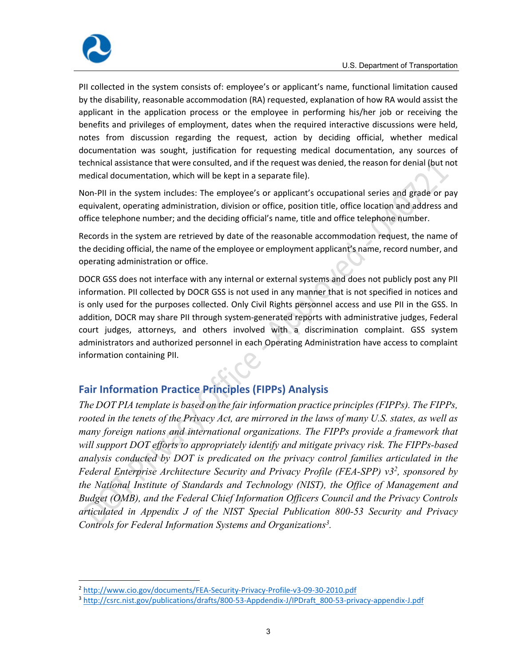

 PII collected in the system consists of: employee's or applicant's name, functional limitation caused by the disability, reasonable accommodation (RA) requested, explanation of how RA would assist the applicant in the application process or the employee in performing his/her job or receiving the benefits and privileges of employment, dates when the required interactive discussions were held, notes from discussion regarding the request, action by deciding official, whether medical documentation was sought, justification for requesting medical documentation, any sources of technical assistance that were consulted, and if the request was denied, the reason for denial (but not medical documentation, which will be kept in a separate file).

 Non‐PII in the system includes: The employee's or applicant's occupational series and grade or pay equivalent, operating administration, division or office, position title, office location and address and office telephone number; and the deciding official's name, title and office telephone number.

 Records in the system are retrieved by date of the reasonable accommodation request, the name of the deciding official, the name of the employee or employment applicant's name, record number, and operating administration or office.

 DOCR GSS does not interface with any internal or external systems and does not publicly post any PII information. PII collected by DOCR GSS is not used in any manner that is not specified in notices and is only used for the purposes collected. Only Civil Rights personnel access and use PII in the GSS. In addition, DOCR may share PII through system‐generated reports with administrative judges, Federal court judges, attorneys, and others involved with a discrimination complaint. GSS system administrators and authorized personnel in each Operating Administration have access to complaint information containing PII.

#### **Fair Information Practice Principles (FIPPs) Analysis**

*The DOT PIA template is based on the fair information practice principles (FIPPs). The FIPPs, rooted in the tenets of the Privacy Act, are mirrored in the laws of many U.S. states, as well as many foreign nations and international organizations. The FIPPs provide a framework that will support DOT efforts to appropriately identify and mitigate privacy risk. The FIPPs-based analysis conducted by DOT is predicated on the privacy control families articulated in the Federal Enterprise Architecture Security and Privacy Profile (FEA-SPP) v32, sponsored by the National Institute of Standards and Technology (NIST), the Office of Management and Budget (OMB), and the Federal Chief Information Officers Council and the Privacy Controls articulated in Appendix J of the NIST Special Publication 800-53 Security and Privacy Controls for Federal Information Systems and Organizations3 .* 

<sup>2</sup> [http://www.cio.gov/documents/FEA](http://www.cio.gov/documents/FEA-Security-Privacy-Profile-v3-09-30-2010.pdf)‐Security‐Privacy‐Profile‐v3‐09‐30‐2010.pdf

<sup>&</sup>lt;sup>3</sup> [http://csrc.nist.gov/publications/drafts/800](http://csrc.nist.gov/publications/drafts/800-53-Appdendix-J/IPDraft_800-53-privacy-appendix-J.pdf)‐53‐Appdendix‐J/IPDraft\_800‐53‐privacy‐appendix‐J.pdf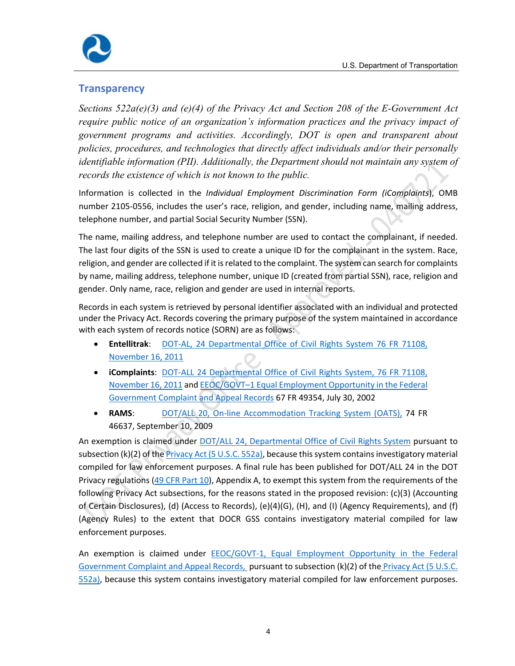

#### **Transparency**

*Sections 522a(e)(3) and (e)(4) of the Privacy Act and Section 208 of the E-Government Act require public notice of an organization's information practices and the privacy impact of government programs and activities. Accordingly, DOT is open and transparent about policies, procedures, and technologies that directly affect individuals and/or their personally identifiable information (PII). Additionally, the Department should not maintain any system of records the existence of which is not known to the public.* 

Information is collected in the *Individual Employment Discrimination Form (iComplaints*), OMB  number 2105‐0556, includes the user's race, religion, and gender, including name, mailing address, telephone number, and partial Social Security Number (SSN).

The name, mailing address, and telephone number are used to contact the complainant, if needed. The last four digits of the SSN is used to create a unique ID for the complainant in the system. Race, religion, and gender are collected if it is related to the complaint. The system can search for complaints by name, mailing address, telephone number, unique ID (created from partial SSN), race, religion and gender. Only name, race, religion and gender are used in internal reports.

Records in each system is retrieved by personal identifier associated with an individual and protected under the Privacy Act. Records covering the primary purpose of the system maintained in accordance with each system of records notice (SORN) are as follows:

- **Entellitrak**: DOT-AL, 24 Departmental Office of Civil Rights System 76 FR 71108, November 16, 2011
- **iComplaints**: DOT‐ALL 24 Departmental Office of Civil Rights System, 76 FR 71108, November 16, 2011 and EEOC/GOVT–1 Equal Employment Opportunity in the Federal Government Complaint and Appeal Records 67 FR 49354, July 30, 2002
- **RAMS:** DOT/ALL 20, On-line Accommodation Tracking System (OATS), 74 FR 46637, September 10, 2009

enforcement purposes. An exemption is claimed under *DOT/ALL 24, Departmental Office of Civil Rights System* pursuant to subsection (k)(2) of the <u>Privacy Act (5 U.S.C. 552a)</u>, because this system contains investigatory material compiled for law enforcement purposes. A final rule has been published for DOT/ALL 24 in the DOT Privacy regulations (49 CFR Part 10), Appendix A, to exempt this system from the requirements of the following Privacy Act subsections, for the reasons stated in the proposed revision: (c)(3) (Accounting of Certain Disclosures), (d) (Access to Records), (e)(4)(G), (H), and (I) (Agency Requirements), and (f) (Agency Rules) to the extent that DOCR GSS contains investigatory material compiled for law

An exemption is claimed under **EEOC/GOVT-1, Equal Employment Opportunity in the Federal** Government Complaint and Appeal Records, pursuant to subsection (k)(2) of the *Privacy Act (5 U.S.C.* 552a), because this system contains investigatory material compiled for law enforcement purposes.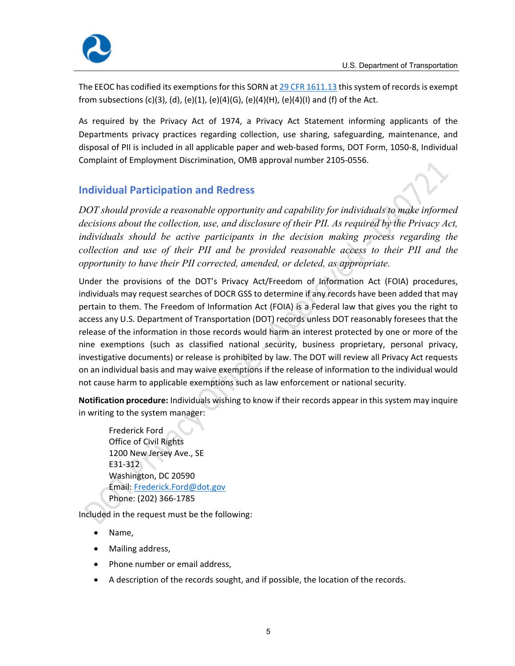

The EEOC has codified its exemptions for this SORN at  $29$  CFR 1611.13 this system of records is exempt from subsections (c)(3), (d), (e)(1), (e)(4)(G), (e)(4)(H), (e)(4)(I) and (f) of the Act.

 As required by the Privacy Act of 1974, a Privacy Act Statement informing applicants of the Departments privacy practices regarding collection, use sharing, safeguarding, maintenance, and disposal of PII is included in all applicable paper and web‐based forms, DOT Form, 1050‐8, Individual Complaint of Employment Discrimination, OMB approval number 2105‐0556.

### **Individual Participation and Redress**

*DOT should provide a reasonable opportunity and capability for individuals to make informed decisions about the collection, use, and disclosure of their PII. As required by the Privacy Act, individuals should be active participants in the decision making process regarding the collection and use of their PII and be provided reasonable access to their PII and the opportunity to have their PII corrected, amended, or deleted, as appropriate.* 

 Under the provisions of the DOT's Privacy Act/Freedom of Information Act (FOIA) procedures, individuals may request searches of DOCR GSS to determine if any records have been added that may pertain to them. The Freedom of Information Act (FOIA) is a Federal law that gives you the right to access any U.S. Department of Transportation (DOT) records unless DOT reasonably foresees that the release of the information in those records would harm an interest protected by one or more of the nine exemptions (such as classified national security, business proprietary, personal privacy, investigative documents) or release is prohibited by law. The DOT will review all Privacy Act requests on an individual basis and may waive exemptions if the release of information to the individual would not cause harm to applicable exemptions such as law enforcement or national security.

 **Notification procedure:** Individuals wishing to know if their records appear in this system may inquire in writing to the system manager:

 Frederick Ford Office of Civil Rights 1200 New Jersey Ave., SE E31‐312 Washington, DC 20590 Email: Frederick.Ford@dot.gov Phone: (202) 366‐1785

Included in the request must be the following:

- Name,
- Mailing address,
- Phone number or email address,
- A description of the records sought, and if possible, the location of the records.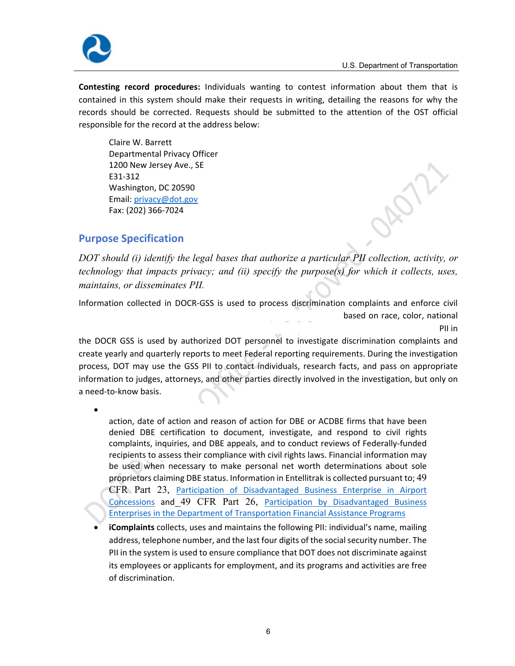

 **Contesting record procedures:** Individuals wanting to contest information about them that is contained in this system should make their requests in writing, detailing the reasons for why the records should be corrected. Requests should be submitted to the attention of the OST official responsible for the record at the address below:

 Claire W. Barrett Departmental Privacy Officer 1200 New Jersey Ave., SE E31‐312 Washington, DC 20590 Email: [privacy@dot.gov](mailto:privacy@dot.gov) Fax: (202) 366‐7024

#### **Purpose Specification**

*DOT should (i) identify the legal bases that authorize a particular PII collection, activity, or technology that impacts privacy; and (ii) specify the purpose(s) for which it collects, uses, maintains, or disseminates PII.* 

Information collected in DOCR‐GSS is used to process discrimination complaints and enforce civil rights laws and regulations, which probabilities are probably based on race, color, national

origin, sex, disability, religion and age in employment and the provision of government services. PII in **PII** in the contract of the contract of the contract of the contract of the contract of the contract of the contract of the contract of the contract of the contract of the contract of the contract of the contract of the c

the DOCR GSS is used by authorized DOT personnel to investigate discrimination complaints and create yearly and quarterly reports to meet Federal reporting requirements. During the investigation process, DOT may use the GSS PII to contact individuals, research facts, and pass on appropriate information to judges, attorneys, and other parties directly involved in the investigation, but only on a need‐to‐know basis.

 **Entellitrak** collects, uses and maintains the following PII: the name, owner, type or action, date of action and reason of action for DBE or ACDBE firms that have been denied DBE certification to document, investigate, and respond to civil rights complaints, inquiries, and DBE appeals, and to conduct reviews of Federally‐funded recipients to assess their compliance with civil rights laws. Financial information may be used when necessary to make personal net worth determinations about sole proprietors claiming DBE status. Information in Entellitrak is collected pursuant to; 49 CFR Part 23, Participation of Disadvantaged Business Enterprise in Airport Concessions and 49 CFR Part 26, Participation by Disadvantaged Business Enterprises in the Department of Transportation Financial Assistance Programs

 **iComplaints** collects, uses and maintains the following PII: individual's name, mailing address, telephone number, and the last four digits of the social security number. The PII in the system is used to ensure compliance that DOT does not discriminate against its employees or applicants for employment, and its programs and activities are free of discrimination.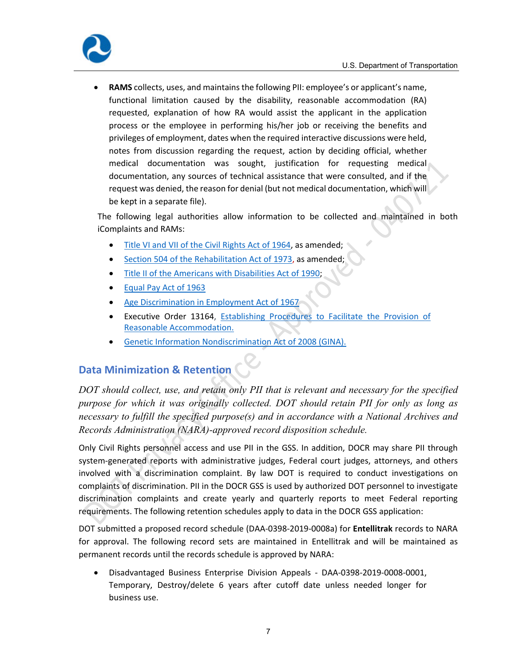

 **RAMS** collects, uses, and maintains the following PII: employee's or applicant's name, functional limitation caused by the disability, reasonable accommodation (RA) requested, explanation of how RA would assist the applicant in the application process or the employee in performing his/her job or receiving the benefits and privileges of employment, dates when the required interactive discussions were held, notes from discussion regarding the request, action by deciding official, whether medical documentation was sought, justification for requesting medical documentation, any sources of technical assistance that were consulted, and if the request was denied, the reason for denial (but not medical documentation, which will be kept in a separate file).

The following legal authorities allow information to be collected and maintained in both iComplaints and RAMs:

- $\bullet$ Title VI and VII of the Civil Rights Act of 1964, as amended;
- $\bullet$ Section 504 of the Rehabilitation Act of 1973, as amended;
- $\bullet$ Title II of the Americans with Disabilities Act of 1990;
- $\bullet$ Equal Pay Act of 1963
- $\bullet$ Age Discrimination in Employment Act of 1967
- $\bullet$ Executive Order 13164, **Establishing Procedures to Facilitate the Provision of** Reasonable Accommodation.
- Genetic Information Nondiscrimination Act of 2008 (GINA).  $\bullet$

#### **Data Minimization & Retention**

*DOT should collect, use, and retain only PII that is relevant and necessary for the specified purpose for which it was originally collected. DOT should retain PII for only as long as necessary to fulfill the specified purpose(s) and in accordance with a National Archives and Records Administration (NARA)-approved record disposition schedule.* 

 Only Civil Rights personnel access and use PII in the GSS. In addition, DOCR may share PII through system‐generated reports with administrative judges, Federal court judges, attorneys, and others involved with a discrimination complaint. By law DOT is required to conduct investigations on complaints of discrimination. PII in the DOCR GSS is used by authorized DOT personnel to investigate discrimination complaints and create yearly and quarterly reports to meet Federal reporting requirements. The following retention schedules apply to data in the DOCR GSS application:

 DOT submitted a proposed record schedule (DAA‐0398‐2019‐0008a) for **Entellitrak** records to NARA for approval. The following record sets are maintained in Entellitrak and will be maintained as permanent records until the records schedule is approved by NARA:

 Disadvantaged Business Enterprise Division Appeals ‐ DAA‐0398‐2019‐0008‐0001, Temporary, Destroy/delete 6 years after cutoff date unless needed longer for business use.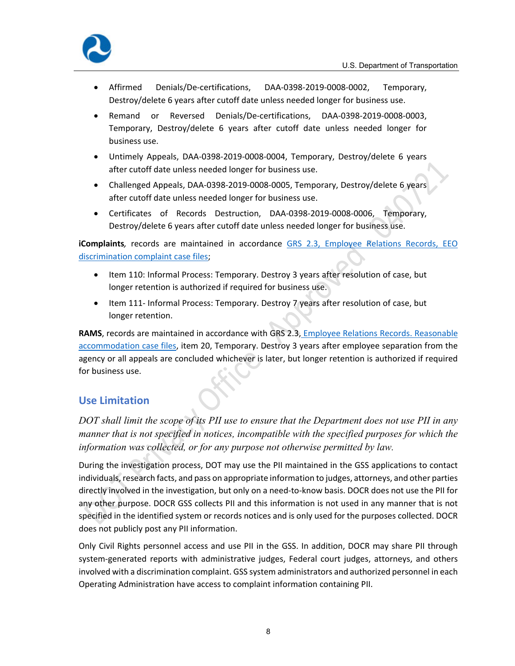

- Destroy/delete 6 years after cutoff date unless needed longer for business use. Affirmed Denials/De‐certifications, DAA‐0398‐2019‐0008‐0002, Temporary,
- Remand or Reversed Denials/De‐certifications, DAA‐0398‐2019‐0008‐0003, Temporary, Destroy/delete 6 years after cutoff date unless needed longer for business use.
- Untimely Appeals, DAA‐0398‐2019‐0008‐0004, Temporary, Destroy/delete 6 years after cutoff date unless needed longer for business use.
- Challenged Appeals, DAA‐0398‐2019‐0008‐0005, Temporary, Destroy/delete 6 years after cutoff date unless needed longer for business use.
- Certificates of Records Destruction, DAA-0398-2019-0008-0006, Temporary, Destroy/delete 6 years after cutoff date unless needed longer for business use.

 **iComplaints***,* records are maintained in accordance GRS 2.3, Employee Relations Records, EEO discrimination complaint case files;

- Item 110: Informal Process: Temporary. Destroy 3 years after resolution of case, but longer retention is authorized if required for business use.
- Item 111- Informal Process: Temporary. Destroy 7 years after resolution of case, but longer retention.

 **RAMS**, records are maintained in accordance with GRS 2.3, Employee Relations Records. Reasonable accommodation case files, item 20, Temporary. Destroy 3 years after employee separation from the agency or all appeals are concluded whichever is later, but longer retention is authorized if required for business use.

#### **Use Limitation**

*DOT shall limit the scope of its PII use to ensure that the Department does not use PII in any manner that is not specified in notices, incompatible with the specified purposes for which the information was collected, or for any purpose not otherwise permitted by law.* 

 During the investigation process, DOT may use the PII maintained in the GSS applications to contact individuals,research facts, and pass on appropriate information to judges, attorneys, and other parties directly involved in the investigation, but only on a need‐to‐know basis. DOCR does not use the PII for any other purpose. DOCR GSS collects PII and this information is not used in any manner that is not specified in the identified system or records notices and is only used for the purposes collected. DOCR does not publicly post any PII information.

 Only Civil Rights personnel access and use PII in the GSS. In addition, DOCR may share PII through system‐generated reports with administrative judges, Federal court judges, attorneys, and others involved with a discrimination complaint. GSS system administrators and authorized personnel in each Operating Administration have access to complaint information containing PII.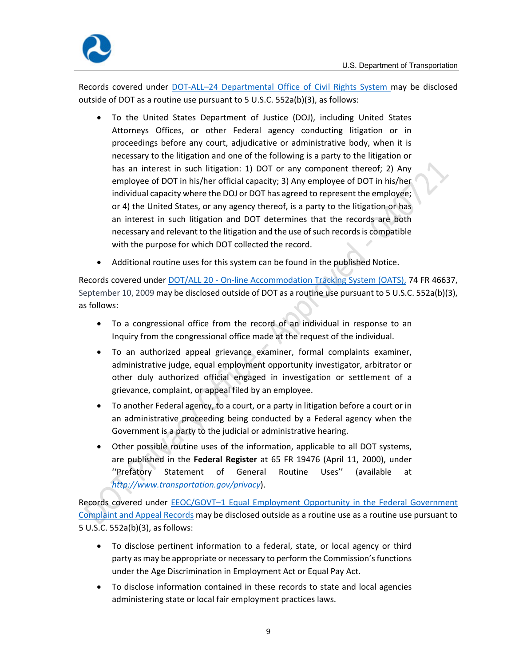

Records covered under **DOT-ALL-24 Departmental Office of Civil Rights System may be disclosed**  outside of DOT as a routine use pursuant to 5 U.S.C. 552a(b)(3), as follows:

- To the United States Department of Justice (DOJ), including United States Attorneys Offices, or other Federal agency conducting litigation or in proceedings before any court, adjudicative or administrative body, when it is necessary to the litigation and one of the following is a party to the litigation or has an interest in such litigation: 1) DOT or any component thereof; 2) Any employee of DOT in his/her official capacity; 3) Any employee of DOT in his/her individual capacity where the DOJ or DOT has agreed to represent the employee; or 4) the United States, or any agency thereof, is a party to the litigation or has an interest in such litigation and DOT determines that the records are both necessary and relevant to the litigation and the use of such records is compatible with the purpose for which DOT collected the record.
- Additional routine uses for this system can be found in the published Notice.

Records covered under **DOT/ALL 20 - On-line Accommodation Tracking System (OATS)**, 74 FR 46637, September 10, 2009 may be disclosed outside of DOT as a routine use pursuant to 5 U.S.C. 552a(b)(3),  as follows:

- To a congressional office from the record of an individual in response to an Inquiry from the congressional office made at the request of the individual.
- administrative judge, equal employment opportunity investigator, arbitrator or other duly authorized official engaged in investigation or settlement of a grievance, complaint, or appeal filed by an employee. To an authorized appeal grievance examiner, formal complaints examiner,
- To another Federal agency, to a court, or a party in litigation before a court or in an administrative proceeding being conducted by a Federal agency when the Government is a party to the judicial or administrative hearing.
- Other possible routine uses of the information, applicable to all DOT systems, are published in the **Federal Register** at 65 FR 19476 (April 11, 2000), under  ''Prefatory Statement of General Routine Uses'' (available at *http://www.transportation.gov/privacy*). Routine Uses"

Records covered under **EEOC/GOVT-1 Equal Employment Opportunity in the Federal Government** Complaint and Appeal Records may be disclosed outside as a routine use as a routine use pursuant to  5 U.S.C. 552a(b)(3), as follows:

- To disclose pertinent information to a federal, state, or local agency or third party as may be appropriate or necessary to perform the Commission's functions under the Age Discrimination in Employment Act or Equal Pay Act.
- To disclose information contained in these records to state and local agencies administering state or local fair employment practices laws.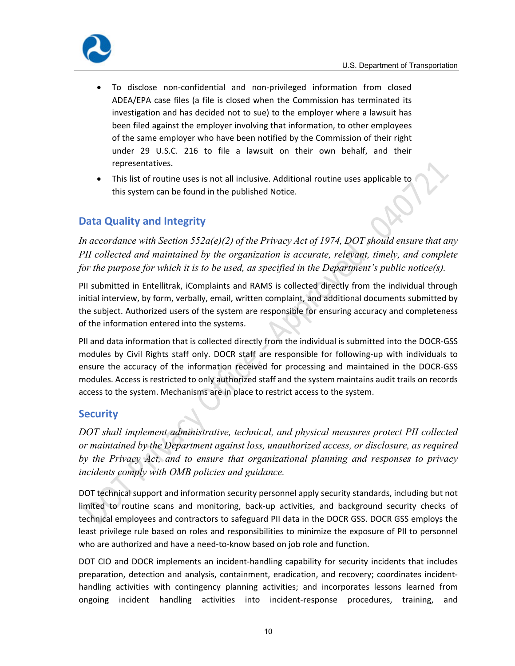

- To disclose non‐confidential and non‐privileged information from closed ADEA/EPA case files (a file is closed when the Commission has terminated its investigation and has decided not to sue) to the employer where a lawsuit has been filed against the employer involving that information, to other employees of the same employer who have been notified by the Commission of their right under 29 U.S.C. 216 to file a lawsuit on their own behalf, and their representatives.
- This list of routine uses is not all inclusive. Additional routine uses applicable to this system can be found in the published Notice.

#### **Data Quality and Integrity**

*In accordance with Section 552a(e)(2) of the Privacy Act of 1974, DOT should ensure that any PII collected and maintained by the organization is accurate, relevant, timely, and complete for the purpose for which it is to be used, as specified in the Department's public notice(s).* 

 PII submitted in Entellitrak, iComplaints and RAMS is collected directly from the individual through initial interview, by form, verbally, email, written complaint, and additional documents submitted by the subject. Authorized users of the system are responsible for ensuring accuracy and completeness of the information entered into the systems.

 PII and data information that is collected directly from the individual is submitted into the DOCR‐GSS modules by Civil Rights staff only. DOCR staff are responsible for following‐up with individuals to ensure the accuracy of the information received for processing and maintained in the DOCR‐GSS modules. Access is restricted to only authorized staff and the system maintains audit trails on records access to the system. Mechanisms are in place to restrict access to the system.

#### **Security**

*DOT shall implement administrative, technical, and physical measures protect PII collected or maintained by the Department against loss, unauthorized access, or disclosure, as required by the Privacy Act, and to ensure that organizational planning and responses to privacy incidents comply with OMB policies and guidance.* 

 DOT technical support and information security personnel apply security standards, including but not limited to routine scans and monitoring, back‐up activities, and background security checks of technical employees and contractors to safeguard PII data in the DOCR GSS. DOCR GSS employs the least privilege rule based on roles and responsibilities to minimize the exposure of PII to personnel who are authorized and have a need‐to‐know based on job role and function.

 DOT CIO and DOCR implements an incident‐handling capability for security incidents that includes preparation, detection and analysis, containment, eradication, and recovery; coordinates incident‐ handling activities with contingency planning activities; and incorporates lessons learned from ongoing incident handling activities into incident‐response procedures, training, and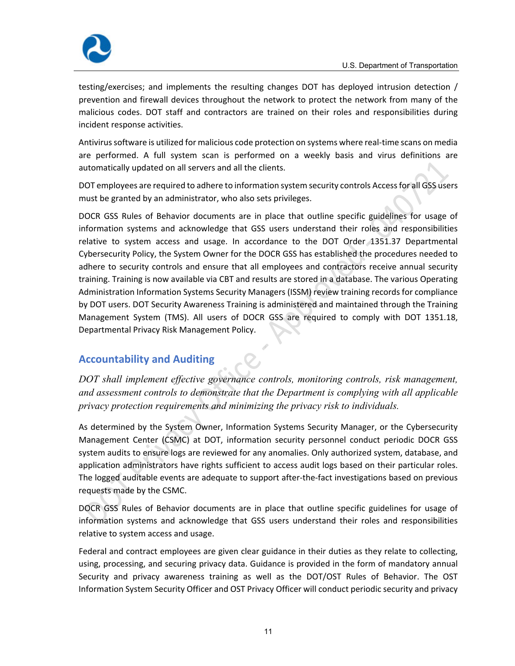

 testing/exercises; and implements the resulting changes DOT has deployed intrusion detection / prevention and firewall devices throughout the network to protect the network from many of the malicious codes. DOT staff and contractors are trained on their roles and responsibilities during incident response activities.

Antivirus software is utilized for malicious code protection on systems where real-time scans on media are performed. A full system scan is performed on a weekly basis and virus definitions are automatically updated on all servers and all the clients.

DOT employees are required to adhere to information system security controls Access for all GSS users must be granted by an administrator, who also sets privileges.

 DOCR GSS Rules of Behavior documents are in place that outline specific guidelines for usage of information systems and acknowledge that GSS users understand their roles and responsibilities relative to system access and usage. In accordance to the DOT Order 1351.37 Departmental Cybersecurity Policy, the System Owner for the DOCR GSS has established the procedures needed to adhere to security controls and ensure that all employees and contractors receive annual security training. Training is now available via CBT and results are stored in a database. The various Operating Administration Information Systems Security Managers (ISSM) review training records for compliance by DOT users. DOT Security Awareness Training is administered and maintained through the Training Management System (TMS). All users of DOCR GSS are required to comply with DOT 1351.18, Departmental Privacy Risk Management Policy.

#### **Accountability and Auditing**

*DOT shall implement effective governance controls, monitoring controls, risk management, and assessment controls to demonstrate that the Department is complying with all applicable privacy protection requirements and minimizing the privacy risk to individuals.* 

 As determined by the System Owner, Information Systems Security Manager, or the Cybersecurity Management Center (CSMC) at DOT, information security personnel conduct periodic DOCR GSS system audits to ensure logs are reviewed for any anomalies. Only authorized system, database, and application administrators have rights sufficient to access audit logs based on their particular roles. The logged auditable events are adequate to support after‐the‐fact investigations based on previous requests made by the CSMC.

 DOCR GSS Rules of Behavior documents are in place that outline specific guidelines for usage of information systems and acknowledge that GSS users understand their roles and responsibilities relative to system access and usage.

 Federal and contract employees are given clear guidance in their duties as they relate to collecting, using, processing, and securing privacy data. Guidance is provided in the form of mandatory annual Security and privacy awareness training as well as the DOT/OST Rules of Behavior. The OST Information System Security Officer and OST Privacy Officer will conduct periodic security and privacy